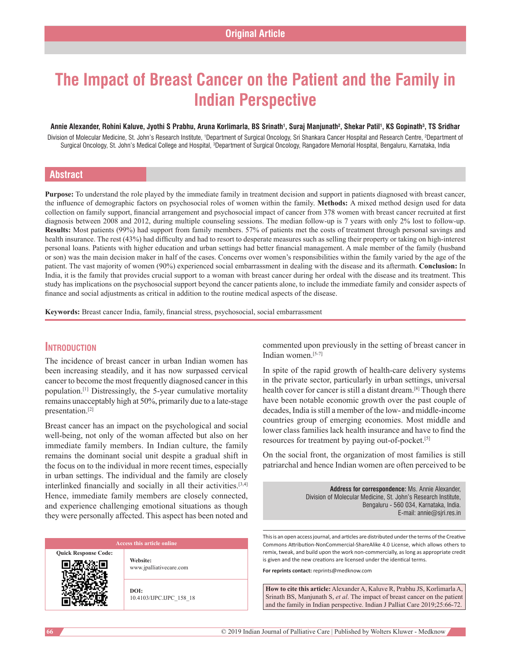# **The Impact of Breast Cancer on the Patient and the Family in Indian Perspective**

#### Annie Alexander, Rohini Kaluve, Jyothi S Prabhu, Aruna Korlimarla, BS Srinath<sup>1</sup>, Suraj Manjunath<sup>2</sup>, Shekar Patil<sup>1</sup>, KS Gopinath<sup>3</sup>, TS Sridhar

Division of Molecular Medicine, St. John's Research Institute, <sup>1</sup>Department of Surgical Oncology, Sri Shankara Cancer Hospital and Research Centre, 2Department of Surgical Oncology, St. John's Medical College and Hospital, <sup>3</sup>Department of Surgical Oncology, Rangadore Memorial Hospital, Bengaluru, Karnataka, India

# **Abstract**

**Purpose:** To understand the role played by the immediate family in treatment decision and support in patients diagnosed with breast cancer, the influence of demographic factors on psychosocial roles of women within the family. **Methods:** A mixed method design used for data collection on family support, financial arrangement and psychosocial impact of cancer from 378 women with breast cancer recruited at first diagnosis between 2008 and 2012, during multiple counseling sessions. The median follow-up is 7 years with only 2% lost to follow-up. **Results:** Most patients (99%) had support from family members. 57% of patients met the costs of treatment through personal savings and health insurance. The rest (43%) had difficulty and had to resort to desperate measures such as selling their property or taking on high-interest personal loans. Patients with higher education and urban settings had better financial management. A male member of the family (husband or son) was the main decision maker in half of the cases. Concerns over women's responsibilities within the family varied by the age of the patient. The vast majority of women (90%) experienced social embarrassment in dealing with the disease and its aftermath. **Conclusion:** In India, it is the family that provides crucial support to a woman with breast cancer during her ordeal with the disease and its treatment. This study has implications on the psychosocial support beyond the cancer patients alone, to include the immediate family and consider aspects of finance and social adjustments as critical in addition to the routine medical aspects of the disease.

**Keywords:** Breast cancer India, family, financial stress, psychosocial, social embarrassment

# **Introduction**

The incidence of breast cancer in urban Indian women has been increasing steadily, and it has now surpassed cervical cancer to become the most frequently diagnosed cancer in this population.[1] Distressingly, the 5-year cumulative mortality remains unacceptably high at 50%, primarily due to a late-stage presentation.[2]

Breast cancer has an impact on the psychological and social well-being, not only of the woman affected but also on her immediate family members. In Indian culture, the family remains the dominant social unit despite a gradual shift in the focus on to the individual in more recent times, especially in urban settings. The individual and the family are closely interlinked financially and socially in all their activities.[3,4] Hence, immediate family members are closely connected, and experience challenging emotional situations as though they were personally affected. This aspect has been noted and

**Quick Response Code:**

**Website:** www.jpalliativecare.com

**DOI:** 10.4103/IJPC.IJPC\_158\_18 commented upon previously in the setting of breast cancer in Indian women $[5-7]$ 

In spite of the rapid growth of health-care delivery systems in the private sector, particularly in urban settings, universal health cover for cancer is still a distant dream.[8] Though there have been notable economic growth over the past couple of decades, India is still a member of the low- and middle-income countries group of emerging economies. Most middle and lower class families lack health insurance and have to find the resources for treatment by paying out-of-pocket.[5]

On the social front, the organization of most families is still patriarchal and hence Indian women are often perceived to be

> **Address for correspondence:** Ms. Annie Alexander, Division of Molecular Medicine, St. John's Research Institute, Bengaluru ‑ 560 034, Karnataka, India. E‑mail: annie@sjri.res.in

This is an open access journal, and articles are distributed under the terms of the Creative Commons Attribution‑NonCommercial‑ShareAlike 4.0 License, which allows others to remix, tweak, and build upon the work non‑commercially, as long as appropriate credit is given and the new creations are licensed under the identical terms.

**For reprints contact:** reprints@medknow.com

**How to cite this article:** Alexander A, Kaluve R, Prabhu JS, Korlimarla A, Srinath BS, Manjunath S, *et al*. The impact of breast cancer on the patient and the family in Indian perspective. Indian J Palliat Care 2019;25:66-72.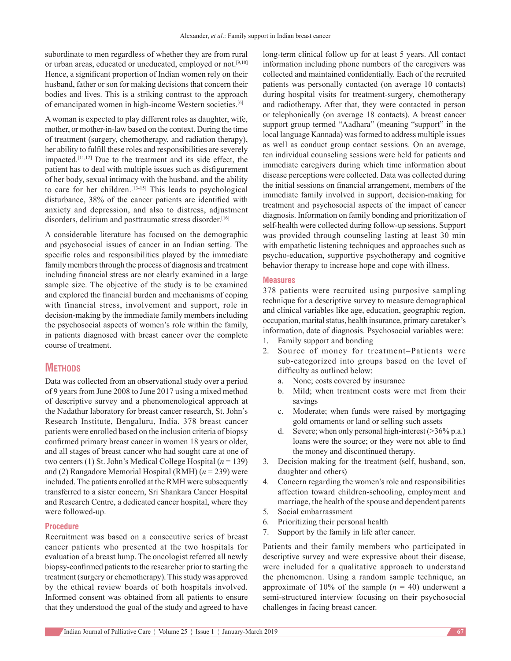subordinate to men regardless of whether they are from rural or urban areas, educated or uneducated, employed or not.<sup>[9,10]</sup> Hence, a significant proportion of Indian women rely on their husband, father or son for making decisions that concern their bodies and lives. This is a striking contrast to the approach of emancipated women in high-income Western societies.[6]

A woman is expected to play different roles as daughter, wife, mother, or mother-in-law based on the context. During the time of treatment (surgery, chemotherapy, and radiation therapy), her ability to fulfill these roles and responsibilities are severely impacted.[11,12] Due to the treatment and its side effect, the patient has to deal with multiple issues such as disfigurement of her body, sexual intimacy with the husband, and the ability to care for her children.<sup>[13-15]</sup> This leads to psychological disturbance, 38% of the cancer patients are identified with anxiety and depression, and also to distress, adjustment disorders, delirium and posttraumatic stress disorder.[16]

A considerable literature has focused on the demographic and psychosocial issues of cancer in an Indian setting. The specific roles and responsibilities played by the immediate family members through the process of diagnosis and treatment including financial stress are not clearly examined in a large sample size. The objective of the study is to be examined and explored the financial burden and mechanisms of coping with financial stress, involvement and support, role in decision-making by the immediate family members including the psychosocial aspects of women's role within the family, in patients diagnosed with breast cancer over the complete course of treatment.

# **METHODS**

Data was collected from an observational study over a period of 9 years from June 2008 to June 2017 using a mixed method of descriptive survey and a phenomenological approach at the Nadathur laboratory for breast cancer research, St. John's Research Institute, Bengaluru, India. 378 breast cancer patients were enrolled based on the inclusion criteria of biopsy confirmed primary breast cancer in women 18 years or older, and all stages of breast cancer who had sought care at one of two centers (1) St. John's Medical College Hospital (*n* = 139) and (2) Rangadore Memorial Hospital (RMH) (*n* = 239) were included. The patients enrolled at the RMH were subsequently transferred to a sister concern, Sri Shankara Cancer Hospital and Research Centre, a dedicated cancer hospital, where they were followed-up.

#### **Procedure**

Recruitment was based on a consecutive series of breast cancer patients who presented at the two hospitals for evaluation of a breast lump. The oncologist referred all newly biopsy-confirmed patients to the researcher prior to starting the treatment (surgery or chemotherapy). This study was approved by the ethical review boards of both hospitals involved. Informed consent was obtained from all patients to ensure that they understood the goal of the study and agreed to have long-term clinical follow up for at least 5 years. All contact information including phone numbers of the caregivers was collected and maintained confidentially. Each of the recruited patients was personally contacted (on average 10 contacts) during hospital visits for treatment-surgery, chemotherapy and radiotherapy. After that, they were contacted in person or telephonically (on average 18 contacts). A breast cancer support group termed "Aadhara" (meaning "support" in the local language Kannada) was formed to address multiple issues as well as conduct group contact sessions. On an average, ten individual counseling sessions were held for patients and immediate caregivers during which time information about disease perceptions were collected. Data was collected during the initial sessions on financial arrangement, members of the immediate family involved in support, decision-making for treatment and psychosocial aspects of the impact of cancer diagnosis. Information on family bonding and prioritization of self-health were collected during follow-up sessions. Support was provided through counseling lasting at least 30 min with empathetic listening techniques and approaches such as psycho-education, supportive psychotherapy and cognitive behavior therapy to increase hope and cope with illness.

#### **Measures**

378 patients were recruited using purposive sampling technique for a descriptive survey to measure demographical and clinical variables like age, education, geographic region, occupation, marital status, health insurance, primary caretaker's information, date of diagnosis. Psychosocial variables were:

- 1. Family support and bonding
- 2. Source of money for treatment–Patients were sub-categorized into groups based on the level of difficulty as outlined below:
	- a. None; costs covered by insurance
	- b. Mild; when treatment costs were met from their savings
	- c. Moderate; when funds were raised by mortgaging gold ornaments or land or selling such assets
	- d. Severe; when only personal high-interest  $(>\!\!36\!\!/_{0}$  p.a.) loans were the source; or they were not able to find the money and discontinued therapy.
- 3. Decision making for the treatment (self, husband, son, daughter and others)
- 4. Concern regarding the women's role and responsibilities affection toward children-schooling, employment and marriage, the health of the spouse and dependent parents
- 5. Social embarrassment
- 6. Prioritizing their personal health
- 7. Support by the family in life after cancer.

Patients and their family members who participated in descriptive survey and were expressive about their disease, were included for a qualitative approach to understand the phenomenon. Using a random sample technique, an approximate of 10% of the sample  $(n = 40)$  underwent a semi-structured interview focusing on their psychosocial challenges in facing breast cancer.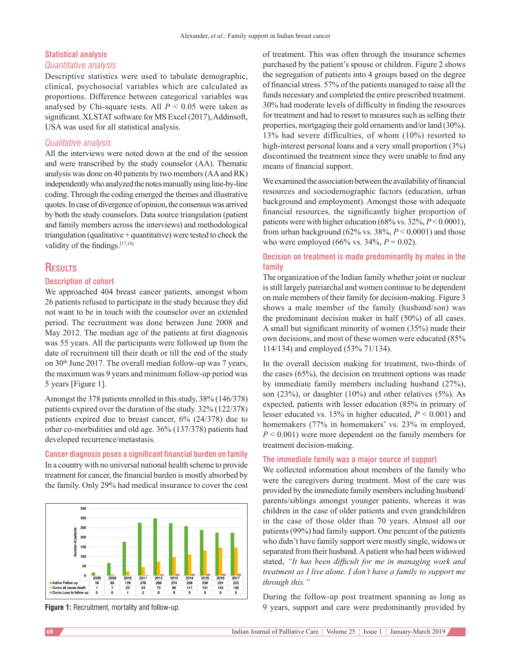#### **Statistical analysis**

#### *Quantitative analysis*

Descriptive statistics were used to tabulate demographic, clinical, psychosocial variables which are calculated as proportions. Difference between categorical variables was analysed by Chi-square tests. All *P* < 0.05 were taken as significant. XLSTAT software for MS Excel (2017), Addinsoft, USA was used for all statistical analysis.

# *Qualitative analysis*

All the interviews were noted down at the end of the session and were transcribed by the study counselor (AA). Thematic analysis was done on 40 patients by two members (AA and RK) independently who analyzed the notes manually using line-by-line coding. Through the coding emerged the themes and illustrative quotes. In case of divergence of opinion, the consensus was arrived by both the study counselors. Data source triangulation (patient and family members across the interviews) and methodological triangulation (qualitative  $+$  quantitative) were tested to check the validity of the findings.<sup>[17,18]</sup>

# **Results**

### **Description of cohort**

We approached 404 breast cancer patients, amongst whom 26 patients refused to participate in the study because they did not want to be in touch with the counselor over an extended period. The recruitment was done between June 2008 and May 2012. The median age of the patients at first diagnosis was 55 years. All the participants were followed up from the date of recruitment till their death or till the end of the study on 30<sup>th</sup> June 2017. The overall median follow-up was 7 years, the maximum was 9 years and minimum follow-up period was 5 years [Figure 1].

Amongst the 378 patients enrolled in this study, 38% (146/378) patients expired over the duration of the study. 32% (122/378) patients expired due to breast cancer, 6% (24/378) due to other co-morbidities and old age. 36% (137/378) patients had developed recurrence/metastasis.

**Cancer diagnosis poses a significant financial burden on family** In a country with no universal national health scheme to provide treatment for cancer, the financial burden is mostly absorbed by the family. Only 29% had medical insurance to cover the cost



of treatment. This was often through the insurance schemes purchased by the patient's spouse or children. Figure 2 shows the segregation of patients into 4 groups based on the degree of financial stress. 57% of the patients managed to raise all the funds necessary and completed the entire prescribed treatment. 30% had moderate levels of difficulty in finding the resources for treatment and had to resort to measures such as selling their properties, mortgaging their gold ornaments and/or land (30%). 13% had severe difficulties, of whom (10%) resorted to high-interest personal loans and a very small proportion  $(3%)$ discontinued the treatment since they were unable to find any means of financial support.

We examined the association between the availability of financial resources and sociodemographic factors (education, urban background and employment). Amongst those with adequate financial resources, the significantly higher proportion of patients were with higher education (68% vs. 32%, *P*< 0.0001), from urban background (62% vs. 38%, *P* < 0.0001) and those who were employed (66% vs.  $34\%$ ,  $P = 0.02$ ).

# **Decision on treatment is made predominantly by males in the family**

The organization of the Indian family whether joint or nuclear is still largely patriarchal and women continue to be dependent on male members of their family for decision-making. Figure 3 shows a male member of the family (husband/son) was the predominant decision maker in half (50%) of all cases. A small but significant minority of women (35%) made their own decisions, and most of these women were educated (85% 114/134) and employed (53% 71/134).

In the overall decision making for treatment, two-thirds of the cases (65%), the decision on treatment options was made by immediate family members including husband (27%), son  $(23\%)$ , or daughter  $(10\%)$  and other relatives  $(5\%)$ . As expected, patients with lesser education (85% in primary of lesser educated vs. 15% in higher educated, *P* < 0.001) and homemakers (77% in homemakers' vs. 23% in employed, *P* < 0.001) were more dependent on the family members for treatment decision-making.

#### **The immediate family was a major source of support**

We collected information about members of the family who were the caregivers during treatment. Most of the care was provided by the immediate family members including husband/ parents/siblings amongst younger patients, whereas it was children in the case of older patients and even grandchildren in the case of those older than 70 years. Almost all our patients(99%) had family support. One percent of the patients who didn't have family support were mostly single, widows or separated from their husband. Apatient who had been widowed stated, *"It has been difficult for me in managing work and treatment as I live alone. I don't have a family to support me through this."*

During the follow-up post treatment spanning as long as **Figure** 1: Recruitment, mortality and follow-up. 9 years, support and care were predominantly provided by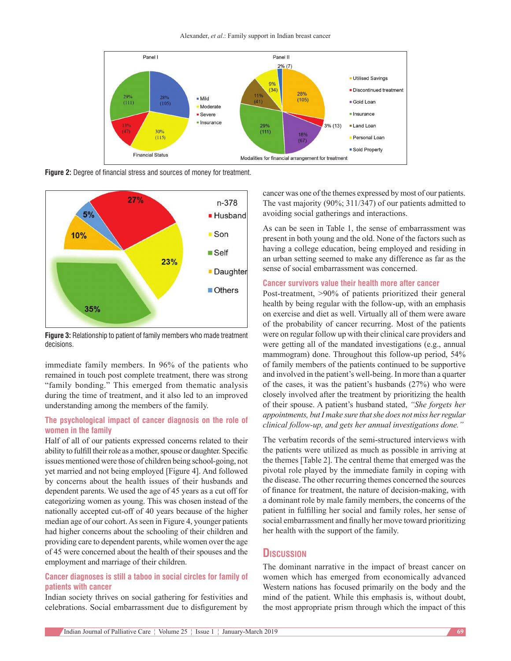Alexander, *et al*.: Family support in Indian breast cancer



**Figure 2:** Degree of financial stress and sources of money for treatment.



**Figure 3:** Relationship to patient of family members who made treatment decisions.

immediate family members. In 96% of the patients who remained in touch post complete treatment, there was strong "family bonding." This emerged from thematic analysis during the time of treatment, and it also led to an improved understanding among the members of the family.

# **The psychological impact of cancer diagnosis on the role of women in the family**

Half of all of our patients expressed concerns related to their ability to fulfill their role as a mother, spouse or daughter. Specific issues mentioned were those of children being school-going, not yet married and not being employed [Figure 4]. And followed by concerns about the health issues of their husbands and dependent parents. We used the age of 45 years as a cut off for categorizing women as young. This was chosen instead of the nationally accepted cut-off of 40 years because of the higher median age of our cohort. As seen in Figure 4, younger patients had higher concerns about the schooling of their children and providing care to dependent parents, while women over the age of 45 were concerned about the health of their spouses and the employment and marriage of their children.

# **Cancer diagnoses is still a taboo in social circles for family of patients with cancer**

Indian society thrives on social gathering for festivities and celebrations. Social embarrassment due to disfigurement by cancer was one of the themes expressed by most of our patients. The vast majority (90%; 311/347) of our patients admitted to avoiding social gatherings and interactions.

As can be seen in Table 1, the sense of embarrassment was present in both young and the old. None of the factors such as having a college education, being employed and residing in an urban setting seemed to make any difference as far as the sense of social embarrassment was concerned.

#### **Cancer survivors value their health more after cancer**

Post-treatment, >90% of patients prioritized their general health by being regular with the follow-up, with an emphasis on exercise and diet as well. Virtually all of them were aware of the probability of cancer recurring. Most of the patients were on regular follow up with their clinical care providers and were getting all of the mandated investigations (e.g., annual mammogram) done. Throughout this follow-up period, 54% of family members of the patients continued to be supportive and involved in the patient's well-being. In more than a quarter of the cases, it was the patient's husbands (27%) who were closely involved after the treatment by prioritizing the health of their spouse. A patient's husband stated, *"She forgets her appointments, butI make sure thatshe does not miss herregular clinical follow‑up, and gets her annual investigations done."*

The verbatim records of the semi-structured interviews with the patients were utilized as much as possible in arriving at the themes [Table 2]. The central theme that emerged was the pivotal role played by the immediate family in coping with the disease. The other recurring themes concerned the sources of finance for treatment, the nature of decision‑making, with a dominant role by male family members, the concerns of the patient in fulfilling her social and family roles, her sense of social embarrassment and finally her move toward prioritizing her health with the support of the family.

# **Discussion**

The dominant narrative in the impact of breast cancer on women which has emerged from economically advanced Western nations has focused primarily on the body and the mind of the patient. While this emphasis is, without doubt, the most appropriate prism through which the impact of this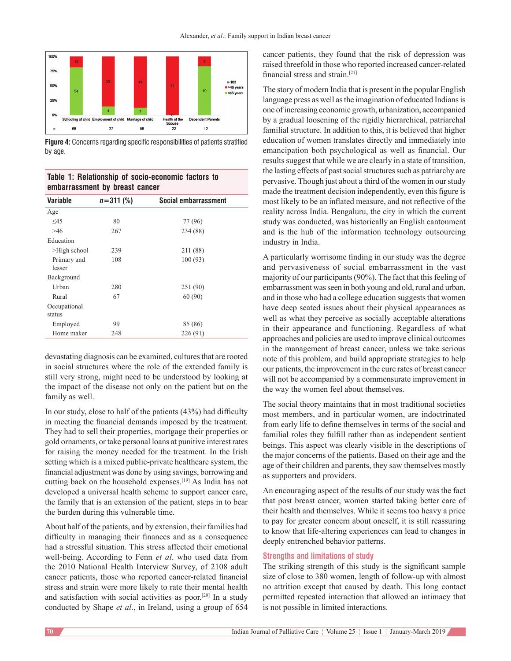

**Figure 4:** Concerns regarding specific responsibilities of patients stratified by age.

**Table 1: Relationship of socio‑economic factors to embarrassment by breast cancer**

| <b>Variable</b>        | $n = 311 (%)$ | Social embarrassment |
|------------------------|---------------|----------------------|
| Age                    |               |                      |
| $\leq 45$              | 80            | 77 (96)              |
| >46                    | 267           | 234 (88)             |
| Education              |               |                      |
| $>$ High school        | 239           | 211 (88)             |
| Primary and<br>lesser  | 108           | 100(93)              |
| Background             |               |                      |
| Urban                  | 280           | 251 (90)             |
| Rural                  | 67            | 60(90)               |
| Occupational<br>status |               |                      |
| Employed               | 99            | 85 (86)              |
| Home maker             | 248           | 226 (91)             |

devastating diagnosis can be examined, cultures that are rooted in social structures where the role of the extended family is still very strong, might need to be understood by looking at the impact of the disease not only on the patient but on the family as well.

In our study, close to half of the patients (43%) had difficulty in meeting the financial demands imposed by the treatment. They had to sell their properties, mortgage their properties or gold ornaments, or take personal loans at punitive interest rates for raising the money needed for the treatment. In the Irish setting which is a mixed public-private healthcare system, the financial adjustment was done by using savings, borrowing and cutting back on the household expenses.[19] As India has not developed a universal health scheme to support cancer care, the family that is an extension of the patient, steps in to bear the burden during this vulnerable time.

About half of the patients, and by extension, their families had difficulty in managing their finances and as a consequence had a stressful situation. This stress affected their emotional well-being. According to Fenn *et al*. who used data from the 2010 National Health Interview Survey, of 2108 adult cancer patients, those who reported cancer‑related financial stress and strain were more likely to rate their mental health and satisfaction with social activities as poor.[20] In a study conducted by Shape *et al*., in Ireland, using a group of 654 cancer patients, they found that the risk of depression was raised threefold in those who reported increased cancer-related financial stress and strain.[21]

The story of modern India that is present in the popular English language press as well as the imagination of educated Indians is one of increasing economic growth, urbanization, accompanied by a gradual loosening of the rigidly hierarchical, patriarchal familial structure. In addition to this, it is believed that higher education of women translates directly and immediately into emancipation both psychological as well as financial. Our results suggest that while we are clearly in a state of transition, the lasting effects of past social structures such as patriarchy are pervasive. Though just about a third of the women in our study made the treatment decision independently, even this figure is most likely to be an inflated measure, and not reflective of the reality across India. Bengaluru, the city in which the current study was conducted, was historically an English cantonment and is the hub of the information technology outsourcing industry in India.

A particularly worrisome finding in our study was the degree and pervasiveness of social embarrassment in the vast majority of our participants(90%). The fact that this feeling of embarrassment was seen in both young and old, rural and urban, and in those who had a college education suggests that women have deep seated issues about their physical appearances as well as what they perceive as socially acceptable alterations in their appearance and functioning. Regardless of what approaches and policies are used to improve clinical outcomes in the management of breast cancer, unless we take serious note of this problem, and build appropriate strategies to help our patients, the improvement in the cure rates of breast cancer will not be accompanied by a commensurate improvement in the way the women feel about themselves.

The social theory maintains that in most traditional societies most members, and in particular women, are indoctrinated from early life to define themselves in terms of the social and familial roles they fulfill rather than as independent sentient beings. This aspect was clearly visible in the descriptions of the major concerns of the patients. Based on their age and the age of their children and parents, they saw themselves mostly as supporters and providers.

An encouraging aspect of the results of our study was the fact that post breast cancer, women started taking better care of their health and themselves. While it seems too heavy a price to pay for greater concern about oneself, it is still reassuring to know that life-altering experiences can lead to changes in deeply entrenched behavior patterns.

# **Strengths and limitations of study**

The striking strength of this study is the significant sample size of close to 380 women, length of follow-up with almost no attrition except that caused by death. This long contact permitted repeated interaction that allowed an intimacy that is not possible in limited interactions.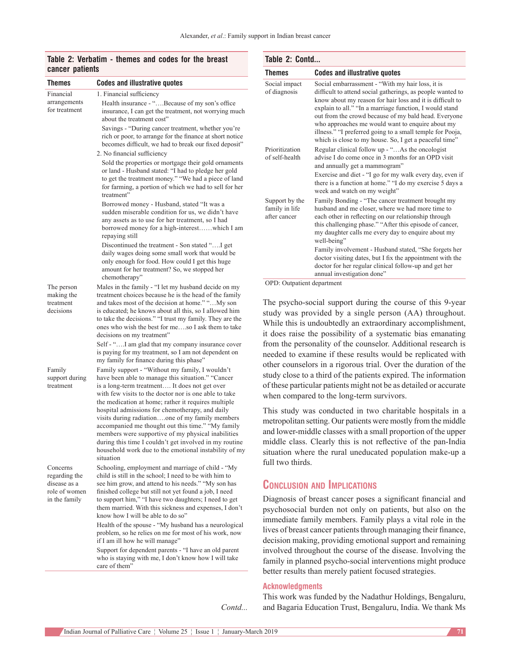# **Table 2: Verbatim ‑ themes and codes for the breast cancer patients**

| <b>Themes</b>                                                               | <b>Codes and illustrative quotes</b>                                                                                                                                                                                                                                                                                                                                                                                                                                                                                                                                                                                   |
|-----------------------------------------------------------------------------|------------------------------------------------------------------------------------------------------------------------------------------------------------------------------------------------------------------------------------------------------------------------------------------------------------------------------------------------------------------------------------------------------------------------------------------------------------------------------------------------------------------------------------------------------------------------------------------------------------------------|
| Financial<br>arrangements<br>for treatment                                  | 1. Financial sufficiency<br>Health insurance - "Because of my son's office<br>insurance, I can get the treatment, not worrying much<br>about the treatment cost"                                                                                                                                                                                                                                                                                                                                                                                                                                                       |
|                                                                             | Savings - "During cancer treatment, whether you're<br>rich or poor, to arrange for the finance at short notice<br>becomes difficult, we had to break our fixed deposit"<br>2. No financial sufficiency                                                                                                                                                                                                                                                                                                                                                                                                                 |
|                                                                             | Sold the properties or mortgage their gold ornaments<br>or land - Husband stated: "I had to pledge her gold<br>to get the treatment money." "We had a piece of land<br>for farming, a portion of which we had to sell for her<br>treatment"                                                                                                                                                                                                                                                                                                                                                                            |
|                                                                             | Borrowed money - Husband, stated "It was a<br>sudden miserable condition for us, we didn't have<br>any assets as to use for her treatment, so I had<br>borrowed money for a high-interestwhich I am<br>repaying still                                                                                                                                                                                                                                                                                                                                                                                                  |
|                                                                             | daily wages doing some small work that would be<br>only enough for food. How could I get this huge<br>amount for her treatment? So, we stopped her<br>chemotherapy"                                                                                                                                                                                                                                                                                                                                                                                                                                                    |
| The person<br>making the<br>treatment<br>decisions                          | Males in the family - "I let my husband decide on my<br>treatment choices because he is the head of the family<br>and takes most of the decision at home." "My son<br>is educated; he knows about all this, so I allowed him<br>to take the decisions." "I trust my family. They are the<br>ones who wish the best for meso I ask them to take<br>decisions on my treatment"                                                                                                                                                                                                                                           |
|                                                                             | Self - "I am glad that my company insurance cover<br>is paying for my treatment, so I am not dependent on<br>my family for finance during this phase"                                                                                                                                                                                                                                                                                                                                                                                                                                                                  |
| Family<br>support during<br>treatment                                       | Family support - "Without my family, I wouldn't<br>have been able to manage this situation." "Cancer<br>is a long-term treatment It does not get over<br>with few visits to the doctor nor is one able to take<br>the medication at home; rather it requires multiple<br>hospital admissions for chemotherapy, and daily<br>visits during radiationone of my family members<br>accompanied me thought out this time." "My family<br>members were supportive of my physical inabilities<br>during this time I couldn't get involved in my routine<br>household work due to the emotional instability of my<br>situation |
| Concerns<br>regarding the<br>disease as a<br>role of women<br>in the family | Schooling, employment and marriage of child - "My<br>child is still in the school; I need to be with him to<br>see him grow, and attend to his needs." "My son has<br>finished college but still not yet found a job, I need<br>to support him," "I have two daughters; I need to get<br>them married. With this sickness and expenses, I don't<br>know how I will be able to do so"<br>Health of the spouse - "My husband has a neurological<br>problem, so he relies on me for most of his work, now                                                                                                                 |
|                                                                             | if I am ill how he will manage"<br>Support for dependent parents - "I have an old parent<br>who is staying with me, I don't know how I will take<br>care of them"                                                                                                                                                                                                                                                                                                                                                                                                                                                      |

| Table 2: Contd                                   |                                                                                                                                                                                                                                                                                                                                                                                                                                                                           |  |
|--------------------------------------------------|---------------------------------------------------------------------------------------------------------------------------------------------------------------------------------------------------------------------------------------------------------------------------------------------------------------------------------------------------------------------------------------------------------------------------------------------------------------------------|--|
| <b>Themes</b>                                    | <b>Codes and illustrative quotes</b>                                                                                                                                                                                                                                                                                                                                                                                                                                      |  |
| Social impact<br>of diagnosis                    | Social embarrassment - "With my hair loss, it is<br>difficult to attend social gatherings, as people wanted to<br>know about my reason for hair loss and it is difficult to<br>explain to all." "In a marriage function, I would stand<br>out from the crowd because of my bald head. Everyone<br>who approaches me would want to enquire about my<br>illness." "I preferred going to a small temple for Pooja,<br>which is close to my house. So, I get a peaceful time" |  |
| Prioritization<br>of self-health                 | Regular clinical follow up - "As the oncologist<br>advise I do come once in 3 months for an OPD visit<br>and annually get a mammogram"<br>Exercise and diet - "I go for my walk every day, even if                                                                                                                                                                                                                                                                        |  |
|                                                  | there is a function at home." "I do my exercise 5 days a<br>week and watch on my weight"                                                                                                                                                                                                                                                                                                                                                                                  |  |
| Support by the<br>family in life<br>after cancer | Family Bonding - "The cancer treatment brought my<br>husband and me closer, where we had more time to<br>each other in reflecting on our relationship through<br>this challenging phase." "After this episode of cancer,<br>my daughter calls me every day to enquire about my<br>well-being"                                                                                                                                                                             |  |
|                                                  | Family involvement - Husband stated, "She forgets her<br>doctor visiting dates, but I fix the appointment with the<br>doctor for her regular clinical follow-up and get her<br>annual investigation done"                                                                                                                                                                                                                                                                 |  |

OPD: Outpatient department

The psycho-social support during the course of this 9-year study was provided by a single person (AA) throughout. While this is undoubtedly an extraordinary accomplishment, it does raise the possibility of a systematic bias emanating from the personality of the counselor. Additional research is needed to examine if these results would be replicated with other counselors in a rigorous trial. Over the duration of the study close to a third of the patients expired. The information of these particular patients might not be as detailed or accurate when compared to the long-term survivors.

This study was conducted in two charitable hospitals in a metropolitan setting. Our patients were mostly from the middle and lower-middle classes with a small proportion of the upper middle class. Clearly this is not reflective of the pan-India situation where the rural uneducated population make-up a full two thirds.

# **Conclusion and Implications**

Diagnosis of breast cancer poses a significant financial and psychosocial burden not only on patients, but also on the immediate family members. Family plays a vital role in the lives of breast cancer patients through managing their finance, decision making, providing emotional support and remaining involved throughout the course of the disease. Involving the family in planned psycho-social interventions might produce better results than merely patient focused strategies.

#### **Acknowledgments**

*Contd...*

This work was funded by the Nadathur Holdings, Bengaluru, and Bagaria Education Trust, Bengaluru, India. We thank Ms